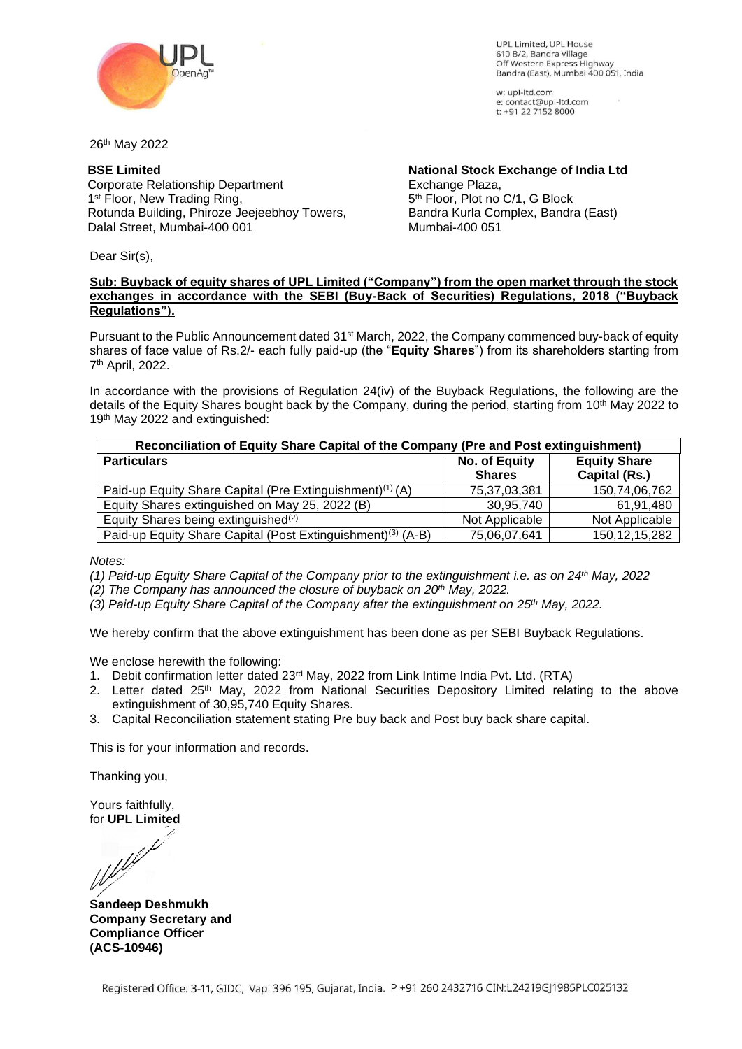

UPL Limited UPL House 610 B/2, Bandra Village Off Western Express Highway Bandra (East), Mumbai 400 051, India

w: upl-ltd.com e: contact@upl-ltd.com t: +91 22 7152 8000

26th May 2022

## **BSE Limited**

Corporate Relationship Department 1<sup>st</sup> Floor, New Trading Ring, Rotunda Building, Phiroze Jeejeebhoy Towers, Dalal Street, Mumbai-400 001

**National Stock Exchange of India Ltd** Exchange Plaza, 5 th Floor, Plot no C/1, G Block Bandra Kurla Complex, Bandra (East) Mumbai-400 051

Dear Sir(s),

### **Sub: Buyback of equity shares of UPL Limited ("Company") from the open market through the stock exchanges in accordance with the SEBI (Buy-Back of Securities) Regulations, 2018 ("Buyback Regulations").**

Pursuant to the Public Announcement dated 31<sup>st</sup> March, 2022, the Company commenced buy-back of equity shares of face value of Rs.2/- each fully paid-up (the "**Equity Shares**") from its shareholders starting from 7 th April, 2022.

In accordance with the provisions of Regulation 24(iv) of the Buyback Regulations, the following are the details of the Equity Shares bought back by the Company, during the period, starting from 10<sup>th</sup> May 2022 to 19<sup>th</sup> May 2022 and extinguished:

| Reconciliation of Equity Share Capital of the Company (Pre and Post extinguishment) |                |                     |  |
|-------------------------------------------------------------------------------------|----------------|---------------------|--|
| <b>Particulars</b>                                                                  | No. of Equity  | <b>Equity Share</b> |  |
|                                                                                     | <b>Shares</b>  | Capital (Rs.)       |  |
| Paid-up Equity Share Capital (Pre Extinguishment) <sup>(1)</sup> (A)                | 75,37,03,381   | 150,74,06,762       |  |
| Equity Shares extinguished on May 25, 2022 (B)                                      | 30,95,740      | 61,91,480           |  |
| Equity Shares being extinguished <sup>(2)</sup>                                     | Not Applicable | Not Applicable      |  |
| Paid-up Equity Share Capital (Post Extinguishment) <sup>(3)</sup> (A-B)             | 75,06,07,641   | 150, 12, 15, 282    |  |

*Notes:*

*(1) Paid-up Equity Share Capital of the Company prior to the extinguishment i.e. as on 24th May, 2022*

*(2) The Company has announced the closure of buyback on 20th May, 2022.* 

*(3) Paid-up Equity Share Capital of the Company after the extinguishment on 25th May, 2022.*

We hereby confirm that the above extinguishment has been done as per SEBI Buyback Regulations.

We enclose herewith the following:

- 1. Debit confirmation letter dated 23rd May, 2022 from Link Intime India Pvt. Ltd. (RTA)
- 2. Letter dated 25<sup>th</sup> May, 2022 from National Securities Depository Limited relating to the above extinguishment of 30,95,740 Equity Shares.
- 3. Capital Reconciliation statement stating Pre buy back and Post buy back share capital.

This is for your information and records.

Thanking you,

Yours faithfully,

for **UPL Limited**

**Sandeep Deshmukh Company Secretary and Compliance Officer (ACS-10946)**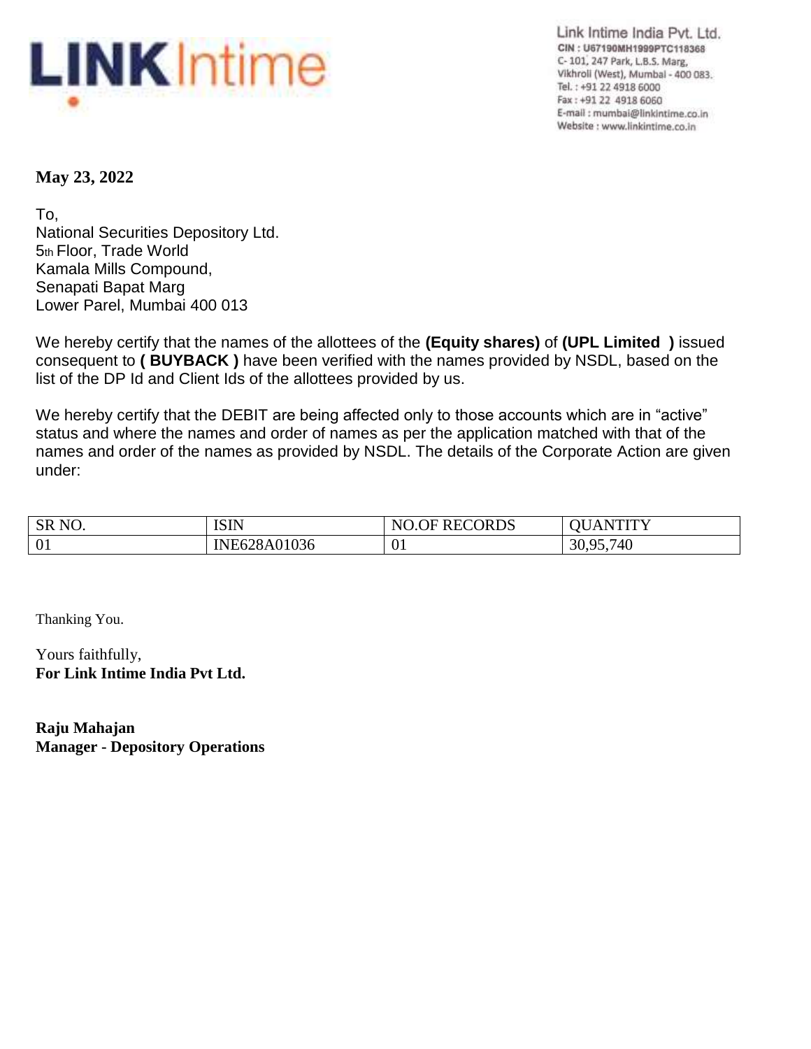

Link Intime India Pvt. Ltd. CIN: U67190MH1999PTC118368 C- 101, 247 Park, L.B.S. Marg, Vikhroli (West), Mumbal - 400 083. Tel.: +91 22 4918 6000 Fax: +91 22 4918 6060 E-mail: mumbai@linkintime.co.in Website : www.linkintime.co.in

# **May 23, 2022**

To, National Securities Depository Ltd. 5th Floor, Trade World Kamala Mills Compound, Senapati Bapat Marg Lower Parel, Mumbai 400 013

We hereby certify that the names of the allottees of the **(Equity shares)** of **(UPL Limited )** issued consequent to **( BUYBACK )** have been verified with the names provided by NSDL, based on the list of the DP Id and Client Ids of the allottees provided by us.

We hereby certify that the DEBIT are being affected only to those accounts which are in "active" status and where the names and order of names as per the application matched with that of the names and order of the names as provided by NSDL. The details of the Corporate Action are given under:

| SR <sub>NO</sub> . | ISIN         | <b>RECORDS</b><br>NO<br>℩⊢ | VTITY<br>$\Delta$ |
|--------------------|--------------|----------------------------|-------------------|
| 01                 | INE628A01036 | 01                         | 30,95,740         |

Thanking You.

Yours faithfully, **For Link Intime India Pvt Ltd.**

**Raju Mahajan Manager - Depository Operations**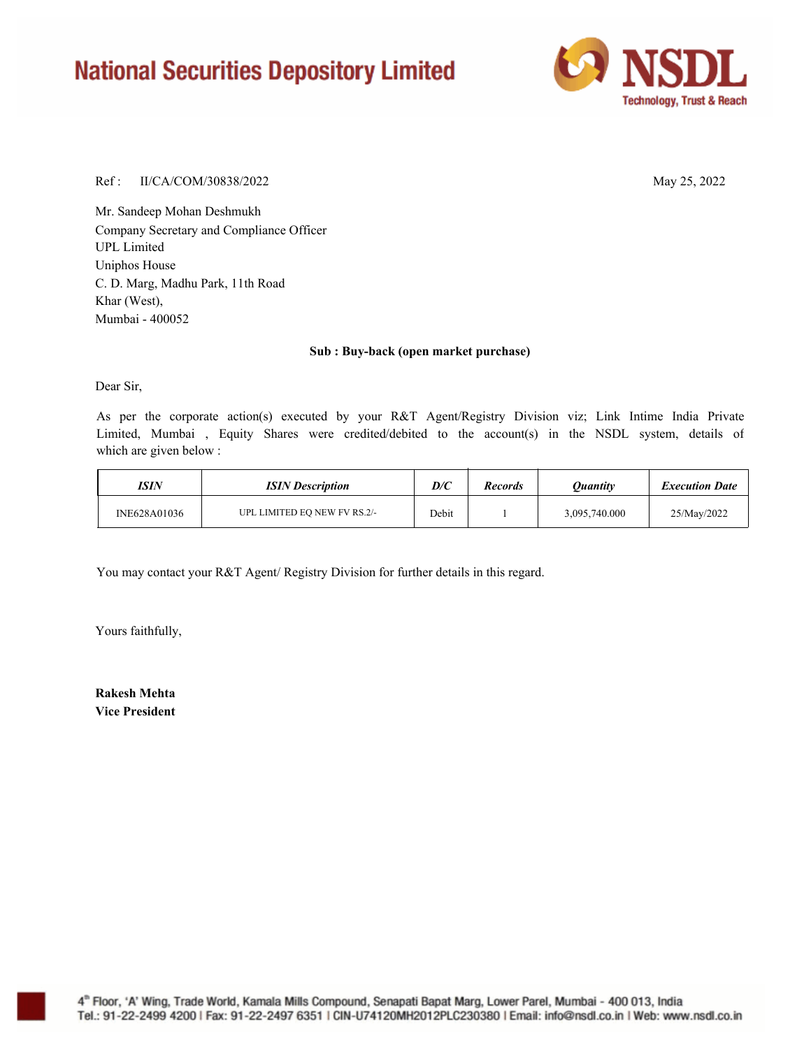# **National Securities Depository Limited**



### Ref : II/CA/COM/30838/2022 May 25, 2022

Mr. Sandeep Mohan Deshmukh Company Secretary and Compliance Officer Uniphos House C. D. Marg, Madhu Park, 11th Road Khar (West), UPL Limited Mumbai - 400052

### **Sub : Buy-back (open market purchase)**

Dear Sir,

As per the corporate action(s) executed by your R&T Agent/Registry Division viz; Link Intime India Private Limited, Mumbai , Equity Shares were credited/debited to the account(s) in the NSDL system, details of which are given below :

| ISIN         | <b>ISIN</b> Description      | D/C   | <b>Records</b> | Ouantity      | <b>Execution Date</b> |
|--------------|------------------------------|-------|----------------|---------------|-----------------------|
| INE628A01036 | UPL LIMITED EO NEW FV RS.2/- | Debit |                | 3,095,740.000 | 25/May/2022           |

You may contact your R&T Agent/ Registry Division for further details in this regard.

Yours faithfully,

**Rakesh Mehta Vice President**